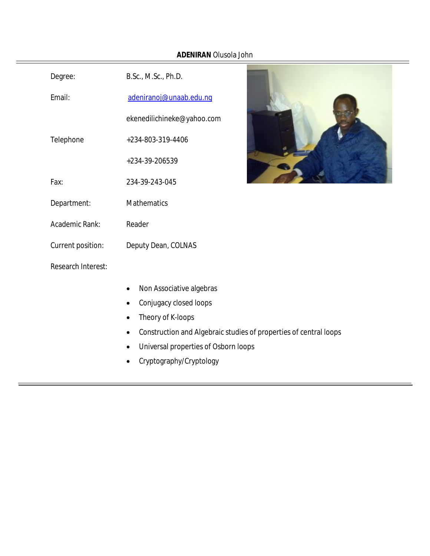# **ADENIRAN** Olusola John

| Degree:            | B.Sc., M.Sc., Ph.D.                                                            |
|--------------------|--------------------------------------------------------------------------------|
| Email:             | adeniranoj@unaab.edu.ng                                                        |
|                    | ekenedilichineke@yahoo.com                                                     |
| Telephone          | +234-803-319-4406                                                              |
|                    | +234-39-206539                                                                 |
| Fax:               | 234-39-243-045                                                                 |
| Department:        | <b>Mathematics</b>                                                             |
| Academic Rank:     | Reader                                                                         |
| Current position:  | Deputy Dean, COLNAS                                                            |
| Research Interest: |                                                                                |
|                    | Non Associative algebras                                                       |
|                    | Conjugacy closed loops                                                         |
|                    | Theory of K-loops<br>$\bullet$                                                 |
|                    | Construction and Algebraic studies of properties of central loops<br>$\bullet$ |
|                    | Universal properties of Osborn loops                                           |



• Cryptography/Cryptology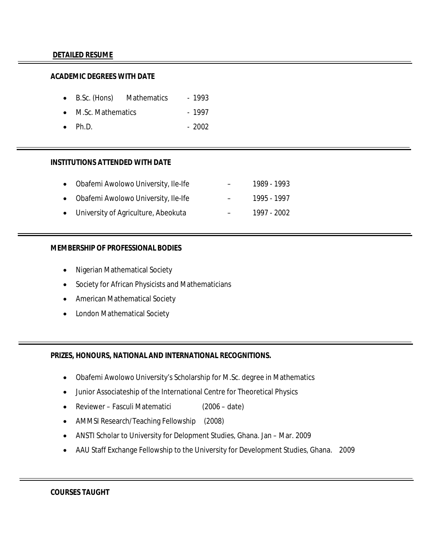#### **DETAILED RESUME**

#### **ACADEMIC DEGREES WITH DATE**

- B.Sc. (Hons) Mathematics 1993
- M.Sc. Mathematics 1997
- Ph.D. 2002

#### **INSTITUTIONS ATTENDED WITH DATE**

- Obafemi Awolowo University, Ile-Ife 1989 1993
- Obafemi Awolowo University, Ile-Ife 1995 1997
- University of Agriculture, Abeokuta 1997 2002

#### **MEMBERSHIP OF PROFESSIONAL BODIES**

- Nigerian Mathematical Society
- Society for African Physicists and Mathematicians
- American Mathematical Society
- London Mathematical Society

#### **PRIZES, HONOURS, NATIONAL AND INTERNATIONAL RECOGNITIONS.**

- Obafemi Awolowo University's Scholarship for M.Sc. degree in Mathematics
- Junior Associateship of the International Centre for Theoretical Physics
- Reviewer Fasculi Matematici (2006 date)
- AMMSI Research/Teaching Fellowship (2008)
- ANSTI Scholar to University for Delopment Studies, Ghana. Jan Mar. 2009
- AAU Staff Exchange Fellowship to the University for Development Studies, Ghana. 2009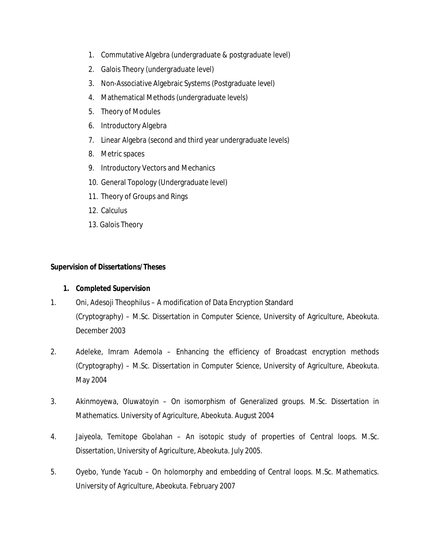- 1. Commutative Algebra (undergraduate & postgraduate level)
- 2. Galois Theory (undergraduate level)
- 3. Non-Associative Algebraic Systems (Postgraduate level)
- 4. Mathematical Methods (undergraduate levels)
- 5. Theory of Modules
- 6. Introductory Algebra
- 7. Linear Algebra (second and third year undergraduate levels)
- 8. Metric spaces
- 9. Introductory Vectors and Mechanics
- 10. General Topology (Undergraduate level)
- 11. Theory of Groups and Rings
- 12. Calculus
- 13. Galois Theory

## **Supervision of Dissertations/Theses**

## **1. Completed Supervision**

- 1. Oni, Adesoji Theophilus A modification of Data Encryption Standard (Cryptography) – M.Sc. Dissertation in Computer Science, University of Agriculture, Abeokuta. December 2003
- 2. Adeleke, Imram Ademola Enhancing the efficiency of Broadcast encryption methods (Cryptography) – M.Sc. Dissertation in Computer Science, University of Agriculture, Abeokuta. May 2004
- 3. Akinmoyewa, Oluwatoyin On isomorphism of Generalized groups. M.Sc. Dissertation in Mathematics. University of Agriculture, Abeokuta. August 2004
- 4. Jaiyeola, Temitope Gbolahan An isotopic study of properties of Central loops. M.Sc. Dissertation, University of Agriculture, Abeokuta. July 2005.
- 5. Oyebo, Yunde Yacub On holomorphy and embedding of Central loops. M.Sc. Mathematics. University of Agriculture, Abeokuta. February 2007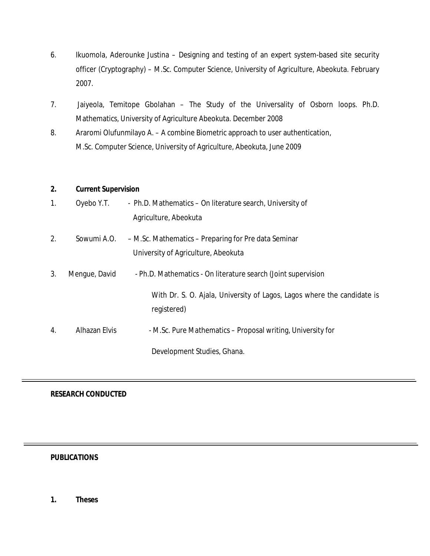- 6. Ikuomola, Aderounke Justina Designing and testing of an expert system-based site security officer (Cryptography) – M.Sc. Computer Science, University of Agriculture, Abeokuta. February 2007.
- 7. Jaiyeola, Temitope Gbolahan The Study of the Universality of Osborn loops. Ph.D. Mathematics, University of Agriculture Abeokuta. December 2008
- 8. Araromi Olufunmilayo A. A combine Biometric approach to user authentication, M.Sc. Computer Science, University of Agriculture, Abeokuta, June 2009

## **2. Current Supervision**

| 1. | Oyebo Y.T.    | - Ph.D. Mathematics – On literature search, University of<br>Agriculture, Abeokuta          |
|----|---------------|---------------------------------------------------------------------------------------------|
| 2. | Sowumi A.O.   | - M.Sc. Mathematics - Preparing for Pre data Seminar<br>University of Agriculture, Abeokuta |
| 3. | Mengue, David | - Ph.D. Mathematics - On literature search (Joint supervision                               |
|    |               | With Dr. S. O. Ajala, University of Lagos, Lagos where the candidate is<br>registered)      |
| 4. | Alhazan Elvis | - M.Sc. Pure Mathematics – Proposal writing, University for                                 |
|    |               | Development Studies, Ghana.                                                                 |

## **RESEARCH CONDUCTED**

## **PUBLICATIONS**

**1. Theses**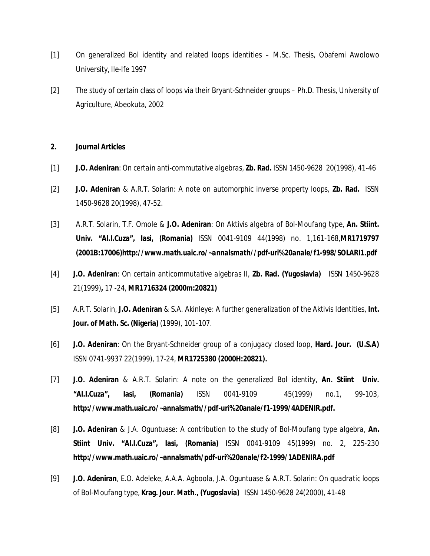- [1] On generalized Bol identity and related loops identities M.Sc. Thesis, Obafemi Awolowo University, Ile-Ife 1997
- [2] The study of certain class of loops via their Bryant-Schneider groups Ph.D. Thesis, University of Agriculture, Abeokuta, 2002

#### **2. Journal Articles**

- [1] **J.O. Adeniran**: *On certain anti-commutative algebras*, **Zb. Rad.** ISSN 1450-962820(1998), 41-46
- [2] **J.O. Adeniran** & A.R.T. Solarin: *A note on automorphic inverse property loops*, **Zb. Rad.** ISSN 1450-9628 20(1998), 47-52.
- [3] A.R.T. Solarin, T.F. Omole & **J.O. Adeniran**: *On Aktivis algebra of Bol-Moufang type*, **An. Stiint. Univ. "Al.I.Cuza", Iasi, (Romania)** ISSN 0041-9109 44(1998) no. 1,161-168,*MR1719797 (2001B:17006)http://www.math.uaic.ro/~annalsmath//pdf-uri%20anale/f1-998/SOLARI1.pdf*
- [4] **J.O. Adeniran**: *On certain anticommutative algebras II*, **Zb. Rad. (Yugoslavia)** ISSN 1450-9628 21(1999)**,** 17 -24, *MR1716324 (2000m:20821)*
- [5] A.R.T. Solarin, **J.O. Adeniran** & S.A. Akinleye: *A further generalization of the Aktivis Identities*, **Int. Jour. of Math. Sc. (Nigeria)** (1999), 101-107.
- [6] **J.O. Adeniran**: *On the Bryant-Schneider group of a conjugacy closed loop*, **Hard. Jour. (U.S.A)**  ISSN 0741-9937 22(1999), 17-24, *MR1725380 (2000H:20821).*
- [7] **J.O. Adeniran** & A.R.T. Solarin: *A note on the generalized Bol identity*, **An. Stiint Univ. "Al.I.Cuza", Iasi, (Romania)** ISSN 0041-910945(1999) no.1, 99-103, **http://www.math.uaic.ro/~annalsmath//pdf-uri%20anale/f1-1999/4ADENIR.pdf.**
- [8] **J.O. Adeniran** & J.A. Oguntuase: *A contribution to the study of Bol-Moufang type algebra*, **An. Stiint Univ. "Al.I.Cuza", Iasi, (Romania)** ISSN 0041-9109 45(1999) no. 2, 225-230 **http://www.math.uaic.ro/~annalsmath/pdf-uri%20anale/f2-1999/1ADENIRA.pdf**
- [9] **J.O. Adeniran**, E.O. Adeleke, A.A.A. Agboola, J.A. Oguntuase & A.R.T. Solarin: *On quadratic loops of Bol-Moufang type*, **Krag. Jour. Math., (Yugoslavia)** ISSN 1450-9628 24(2000), 41-48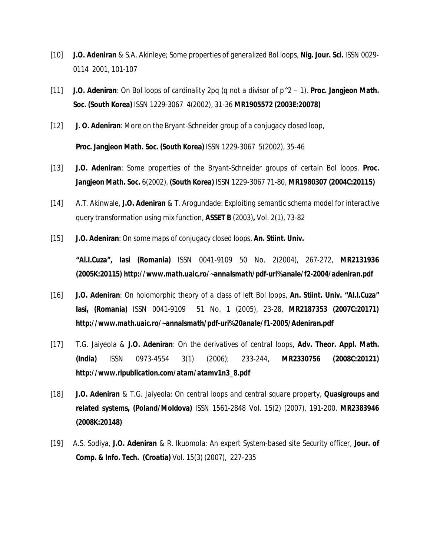- [10] **J.O. Adeniran** & S.A. Akinleye; *Some properties of generalized Bol loops*, **Nig. Jour. Sci.** ISSN 0029- 01142001, 101-107
- [11] **J.O. Adeniran**: *On Bol loops of cardinality 2pq (q not a divisor of p^2 – 1)*. **Proc. Jangjeon Math. Soc. (South Korea)** ISSN 1229-3067 4(2002), 31-36 *MR1905572 (2003E:20078)*
- [12] **J. O. Adeniran**: *More on the Bryant-Schneider group of a conjugacy closed loop*,

**Proc. Jangjeon Math. Soc. (South Korea)** ISSN 1229-30675(2002), 35-46

- [13] **J.O. Adeniran**: *Some properties of the Bryant-Schneider groups of certain Bol loops*. **Proc. Jangjeon Math. Soc.** 6(2002), **(South Korea)** ISSN 1229-3067 71-80, *MR1980307 (2004C:20115)*
- [14] A.T. Akinwale, **J.O. Adeniran** & T. Arogundade: *Exploiting semantic schema model for interactive query transformation using mix function*, **ASSET B** (2003)**,** Vol. 2(1), 73-82
- [15] **J.O. Adeniran**: *On some maps of conjugacy closed loops*, **An. Stiint. Univ.**

**"Al.I.Cuza", Iasi (Romania)** ISSN 0041-9109 50 No. 2(2004), 267-272, *MR2131936 (2005K:20115) http://www.math.uaic.ro/~annalsmath/pdf-uri%anale/f2-2004/adeniran.pdf*

- [16] **J.O. Adeniran***: On holomorphic theory of a class of left Bol loops*, **An. Stiint. Univ. "Al.I.Cuza" Iasi, (Romania)** ISSN 0041-910951 No. 1 (2005), 23-28, *MR2187353 (2007C:20171) http://www.math.uaic.ro/~annalsmath/pdf-uri%20anale/f1-2005/Adeniran.pdf*
- [17] T.G. Jaiyeola & **J.O. Adeniran**: *On the derivatives of central loops*, **Adv. Theor. Appl. Math. (India)** ISSN 0973-4554 3(1) (2006); 233-244, *MR2330756 (2008C:20121) http://www.ripublication.com/atam/atamv1n3\_8.pdf*
- [18] **J.O. Adeniran** & T.G. Jaiyeola: *On central loops and central square property*, **Quasigroups and related systems, (Poland/Moldova)** ISSN 1561-2848 Vol. 15(2) (2007), 191-200, *MR2383946 (2008K:20148)*
- [19] A.S. Sodiya, **J.O. Adeniran** & R. Ikuomola: *An expert System-based site Security officer,* **Jour. of Comp. & Info. Tech. (Croatia)** Vol. 15(3) (2007), 227-235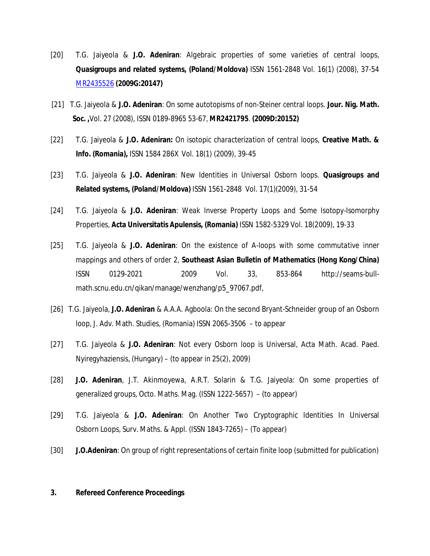- [20] T.G. Jaiyeola & **J.O. Adeniran**: *Algebraic properties of some varieties of central loops*, **Quasigroups and related systems, (Poland/Moldova)** ISSN 1561-2848 Vol. 16(1) (2008), 37-54 MR2435526 **(2009G:20147)**
- [21] T.G. Jaiyeola & **J.O. Adeniran**: *On some autotopisms of non-Steiner central loops*. **Jour. Nig. Math. Soc. ,**Vol. 27 (2008), ISSN 0189-8965 53-67, *MR2421795*. **(2009D:20152)**
- [22] T.G. Jaiyeola & **J.O. Adeniran:** *On isotopic characterization of central loops,* **Creative Math. & Info. (Romania),** ISSN 1584 286XVol. 18(1) (2009), 39-45
- [23] T.G. Jaiyeola & **J.O. Adeniran**: *New Identities in Universal Osborn loops.* **Quasigroups and Related systems, (Poland/Moldova)** ISSN 1561-2848 Vol. 17(1)(2009), 31-54
- [24] T.G. Jaiyeola & **J.O. Adeniran**: *Weak Inverse Property Loops and Some Isotopy-Isomorphy Properties,* **Acta Universitatis Apulensis, (Romania)** ISSN 1582-5329 Vol. 18(2009), 19-33
- [25] T.G. Jaiyeola & **J.O. Adeniran**: *On the existence of A-loops with some commutative inner mappings and others of order 2,* **Southeast Asian Bulletin of Mathematics (Hong Kong/China)** ISSN 0129-2021 2009 Vol. 33, 853-864 http://seams-bullmath.scnu.edu.cn/qikan/manage/wenzhang/p5\_97067.pdf,
- [26] T.G. Jaiyeola, **J.O. Adeniran** & A.A.A. Agboola: On the second Bryant-Schneider group of an Osborn loop, J. Adv. Math. Studies, (Romania) ISSN 2065-3506 – to appear
- [27] T.G. Jaiyeola & **J.O. Adeniran**: Not every Osborn loop is Universal, Acta Math. Acad. Paed. Nyiregyhaziensis, (Hungary) – (to appear in 25(2), 2009)
- [28] **J.O. Adeniran**, J.T. Akinmoyewa, A.R.T. Solarin & T.G. Jaiyeola: On some properties of generalized groups, Octo. Maths. Mag. (ISSN 1222-5657) – (to appear)
- [29] T.G. Jaiyeola & **J.O. Adeniran**: On Another Two Cryptographic Identities In Universal Osborn Loops, Surv. Maths. & Appl. (ISSN 1843-7265) – (To appear)
- [30] **J.O.Adeniran**: On group of right representations of certain finite loop (submitted for publication)

#### **3. Refereed Conference Proceedings**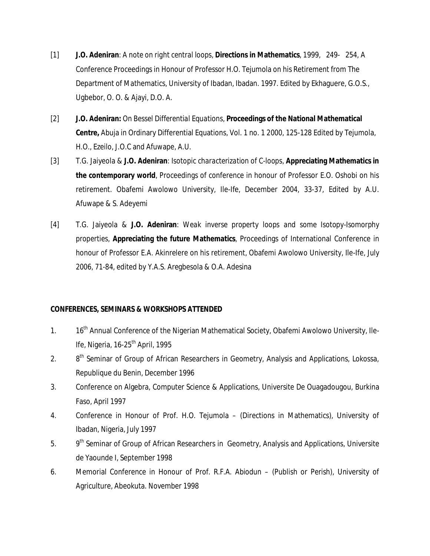- [1] **J.O. Adeniran**: *A note on right central loops*, **Directions in Mathematics**, 1999, 249- 254, A Conference Proceedings in Honour of Professor H.O. Tejumola on his Retirement from The Department of Mathematics, University of Ibadan, Ibadan. 1997. Edited by Ekhaguere, G.O.S., Ugbebor, O. O. & Ajayi, D.O. A.
- [2] **J.O. Adeniran:** *On Bessel Differential Equations*, **Proceedings of the National Mathematical Centre,** Abuja in Ordinary Differential Equations, Vol. 1 no. 1 2000, 125-128 Edited by Tejumola, H.O., Ezeilo, J.O.C and Afuwape, A.U.
- [3] T.G. Jaiyeola & **J.O. Adeniran**: *Isotopic characterization of C-loops*, **Appreciating Mathematics in the contemporary world**, Proceedings of conference in honour of Professor E.O. Oshobi on his retirement. Obafemi Awolowo University, Ile-Ife, December 2004, 33-37, Edited by A.U. Afuwape & S. Adeyemi
- [4] T.G. Jaiyeola & **J.O. Adeniran**: *Weak inverse property loops and some Isotopy-Isomorphy properties,* **Appreciating the future Mathematics**, Proceedings of International Conference in honour of Professor E.A. Akinrelere on his retirement, Obafemi Awolowo University, Ile-Ife, July 2006, 71-84, edited by Y.A.S. Aregbesola & O.A. Adesina

## **CONFERENCES, SEMINARS & WORKSHOPS ATTENDED**

- 1. 16<sup>th</sup> Annual Conference of the Nigerian Mathematical Society, Obafemi Awolowo University, Ile-Ife, Nigeria, 16-25<sup>th</sup> April, 1995
- $2.$ 8<sup>th</sup> Seminar of Group of African Researchers in Geometry, Analysis and Applications, Lokossa, Republique du Benin, December 1996
- 3. Conference on Algebra, Computer Science & Applications, Universite De Ouagadougou, Burkina Faso, April 1997
- 4. Conference in Honour of Prof. H.O. Tejumola (Directions in Mathematics), University of Ibadan, Nigeria, July 1997
- $5.$ 9<sup>th</sup> Seminar of Group of African Researchers in Geometry, Analysis and Applications, Universite de Yaounde I, September 1998
- 6. Memorial Conference in Honour of Prof. R.F.A. Abiodun (Publish or Perish), University of Agriculture, Abeokuta. November 1998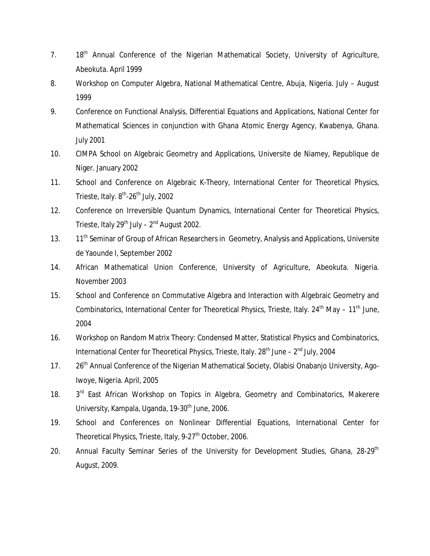- 7. 18<sup>th</sup> Annual Conference of the Nigerian Mathematical Society, University of Agriculture, Abeokuta. April 1999
- 8. Workshop on Computer Algebra, National Mathematical Centre, Abuja, Nigeria. July August 1999
- 9. Conference on Functional Analysis, Differential Equations and Applications, National Center for Mathematical Sciences in conjunction with Ghana Atomic Energy Agency, Kwabenya, Ghana. July 2001
- 10. CIMPA School on Algebraic Geometry and Applications, Universite de Niamey, Republique de Niger. January 2002
- 11. School and Conference on Algebraic K-Theory, International Center for Theoretical Physics, Trieste, Italy. 8<sup>th</sup>-26<sup>th</sup> July, 2002
- 12. Conference on Irreversible Quantum Dynamics, International Center for Theoretical Physics, Trieste, Italy 29<sup>th</sup> July – 2<sup>nd</sup> August 2002.
- 13. 11<sup>th</sup> Seminar of Group of African Researchers in Geometry, Analysis and Applications, Universite de Yaounde I, September 2002
- 14. African Mathematical Union Conference, University of Agriculture, Abeokuta. Nigeria. November 2003
- 15. School and Conference on Commutative Algebra and Interaction with Algebraic Geometry and Combinatorics, International Center for Theoretical Physics, Trieste, Italy.  $24^{th}$  May –  $11^{th}$  June, 2004
- 16. Workshop on Random Matrix Theory: Condensed Matter, Statistical Physics and Combinatorics, International Center for Theoretical Physics, Trieste, Italy. 28<sup>th</sup> June – 2<sup>nd</sup> July, 2004
- 17. 26<sup>th</sup> Annual Conference of the Nigerian Mathematical Society, Olabisi Onabanjo University, Ago-Iwoye, Nigeria. April, 2005
- 18. 3<sup>rd</sup> East African Workshop on Topics in Algebra, Geometry and Combinatorics, Makerere University, Kampala, Uganda, 19-30<sup>th</sup> June, 2006.
- 19. School and Conferences on Nonlinear Differential Equations, International Center for Theoretical Physics, Trieste, Italy, 9-27<sup>th</sup> October, 2006.
- 20. Annual Faculty Seminar Series of the University for Development Studies, Ghana, 28-29<sup>th</sup> August, 2009.